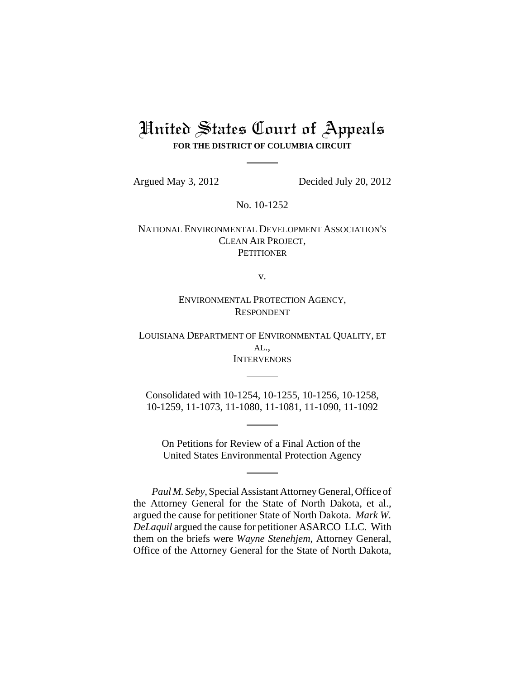# United States Court of Appeals **FOR THE DISTRICT OF COLUMBIA CIRCUIT**

Argued May 3, 2012 Decided July 20, 2012

No. 10-1252

NATIONAL ENVIRONMENTAL DEVELOPMENT ASSOCIATION'S CLEAN AIR PROJECT, **PETITIONER** 

v.

ENVIRONMENTAL PROTECTION AGENCY, RESPONDENT

LOUISIANA DEPARTMENT OF ENVIRONMENTAL QUALITY, ET AL., **INTERVENORS** 

Consolidated with 10-1254, 10-1255, 10-1256, 10-1258, 10-1259, 11-1073, 11-1080, 11-1081, 11-1090, 11-1092

On Petitions for Review of a Final Action of the United States Environmental Protection Agency

*Paul M. Seby*, Special Assistant Attorney General, Office of the Attorney General for the State of North Dakota, et al., argued the cause for petitioner State of North Dakota. *Mark W. DeLaquil* argued the cause for petitioner ASARCO LLC. With them on the briefs were *Wayne Stenehjem*, Attorney General, Office of the Attorney General for the State of North Dakota,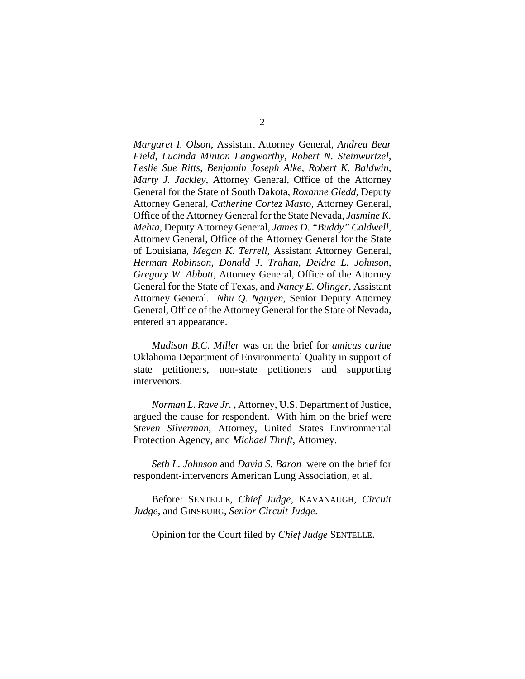*Margaret I. Olson*, Assistant Attorney General, *Andrea Bear Field*, *Lucinda Minton Langworthy*, *Robert N. Steinwurtzel*, *Leslie Sue Ritts*, *Benjamin Joseph Alke*, *Robert K. Baldwin*, *Marty J. Jackley*, Attorney General, Office of the Attorney General for the State of South Dakota, *Roxanne Giedd*, Deputy Attorney General, *Catherine Cortez Masto*, Attorney General, Office of the Attorney General for the State Nevada, *Jasmine K. Mehta*, Deputy Attorney General, *James D. "Buddy" Caldwell*, Attorney General, Office of the Attorney General for the State of Louisiana, *Megan K. Terrell*, Assistant Attorney General, *Herman Robinson*, *Donald J. Trahan*, *Deidra L. Johnson*, *Gregory W. Abbott*, Attorney General, Office of the Attorney General for the State of Texas, and *Nancy E. Olinger*, Assistant Attorney General. *Nhu Q. Nguyen*, Senior Deputy Attorney General, Office of the Attorney General for the State of Nevada, entered an appearance.

*Madison B.C. Miller* was on the brief for *amicus curiae* Oklahoma Department of Environmental Quality in support of state petitioners, non-state petitioners and supporting intervenors.

*Norman L. Rave Jr.* , Attorney, U.S. Department of Justice, argued the cause for respondent. With him on the brief were *Steven Silverman*, Attorney, United States Environmental Protection Agency, and *Michael Thrift*, Attorney.

*Seth L. Johnson* and *David S. Baron* were on the brief for respondent-intervenors American Lung Association, et al.

Before: SENTELLE, *Chief Judge*, KAVANAUGH, *Circuit Judge*, and GINSBURG, *Senior Circuit Judge*.

Opinion for the Court filed by *Chief Judge* SENTELLE.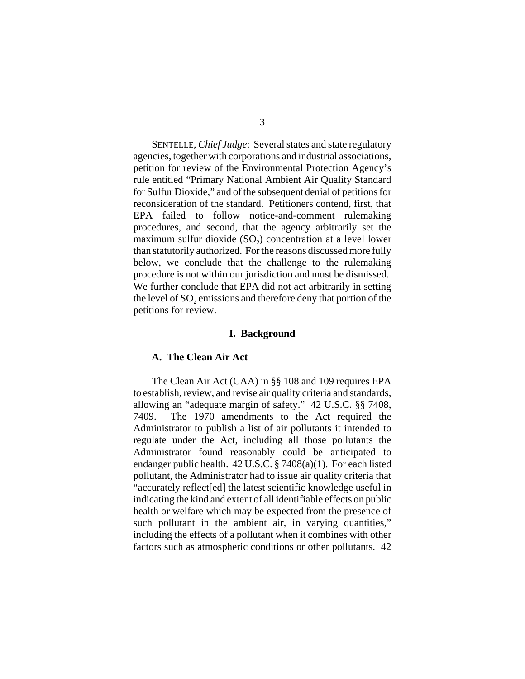SENTELLE, *Chief Judge*: Several states and state regulatory agencies, together with corporations and industrial associations, petition for review of the Environmental Protection Agency's rule entitled "Primary National Ambient Air Quality Standard for Sulfur Dioxide," and of the subsequent denial of petitions for reconsideration of the standard. Petitioners contend, first, that EPA failed to follow notice-and-comment rulemaking procedures, and second, that the agency arbitrarily set the maximum sulfur dioxide  $(SO<sub>2</sub>)$  concentration at a level lower than statutorily authorized. For the reasons discussed more fully below, we conclude that the challenge to the rulemaking procedure is not within our jurisdiction and must be dismissed. We further conclude that EPA did not act arbitrarily in setting the level of SO<sub>2</sub> emissions and therefore deny that portion of the petitions for review.

#### **I. Background**

#### **A. The Clean Air Act**

The Clean Air Act (CAA) in §§ 108 and 109 requires EPA to establish, review, and revise air quality criteria and standards, allowing an "adequate margin of safety." 42 U.S.C. §§ 7408, 7409. The 1970 amendments to the Act required the Administrator to publish a list of air pollutants it intended to regulate under the Act, including all those pollutants the Administrator found reasonably could be anticipated to endanger public health. 42 U.S.C. § 7408(a)(1). For each listed pollutant, the Administrator had to issue air quality criteria that "accurately reflect[ed] the latest scientific knowledge useful in indicating the kind and extent of all identifiable effects on public health or welfare which may be expected from the presence of such pollutant in the ambient air, in varying quantities," including the effects of a pollutant when it combines with other factors such as atmospheric conditions or other pollutants. 42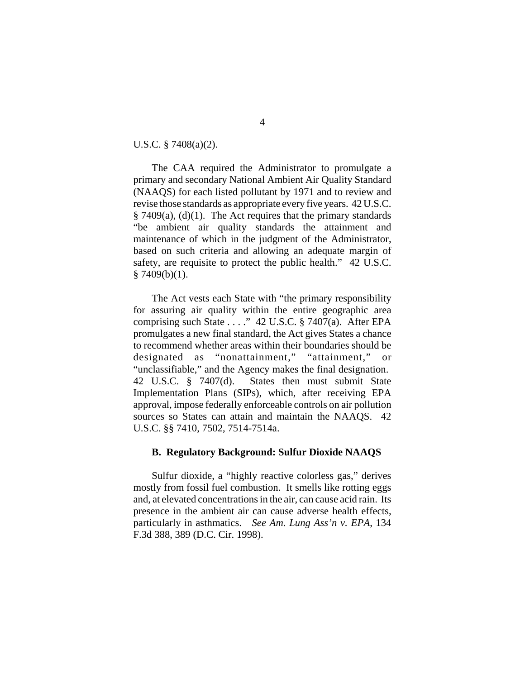U.S.C. § 7408(a)(2).

The CAA required the Administrator to promulgate a primary and secondary National Ambient Air Quality Standard (NAAQS) for each listed pollutant by 1971 and to review and revise those standards as appropriate every five years. 42 U.S.C.  $§ 7409(a), (d)(1).$  The Act requires that the primary standards "be ambient air quality standards the attainment and maintenance of which in the judgment of the Administrator, based on such criteria and allowing an adequate margin of safety, are requisite to protect the public health." 42 U.S.C.  $§ 7409(b)(1).$ 

The Act vests each State with "the primary responsibility for assuring air quality within the entire geographic area comprising such State . . . ." 42 U.S.C.  $\S$  7407(a). After EPA promulgates a new final standard, the Act gives States a chance to recommend whether areas within their boundaries should be designated as "nonattainment," "attainment," or "unclassifiable," and the Agency makes the final designation. 42 U.S.C. § 7407(d). States then must submit State Implementation Plans (SIPs), which, after receiving EPA approval, impose federally enforceable controls on air pollution sources so States can attain and maintain the NAAQS. 42 U.S.C. §§ 7410, 7502, 7514-7514a.

## **B. Regulatory Background: Sulfur Dioxide NAAQS**

Sulfur dioxide, a "highly reactive colorless gas," derives mostly from fossil fuel combustion. It smells like rotting eggs and, at elevated concentrations in the air, can cause acid rain. Its presence in the ambient air can cause adverse health effects, particularly in asthmatics. *See Am. Lung Ass'n v. EPA*, 134 F.3d 388, 389 (D.C. Cir. 1998).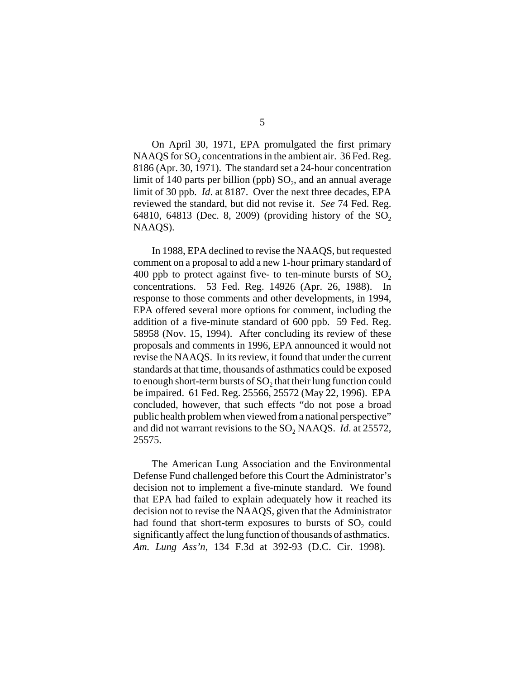On April 30, 1971, EPA promulgated the first primary NAAQS for  $SO<sub>2</sub>$  concentrations in the ambient air. 36 Fed. Reg. 8186 (Apr. 30, 1971). The standard set a 24-hour concentration limit of 140 parts per billion (ppb)  $SO<sub>2</sub>$ , and an annual average limit of 30 ppb. *Id*. at 8187. Over the next three decades, EPA reviewed the standard, but did not revise it. *See* 74 Fed. Reg. 64810, 64813 (Dec. 8, 2009) (providing history of the  $SO_2$ NAAQS).

In 1988, EPA declined to revise the NAAQS, but requested comment on a proposal to add a new 1-hour primary standard of 400 ppb to protect against five- to ten-minute bursts of  $SO<sub>2</sub>$ concentrations. 53 Fed. Reg. 14926 (Apr. 26, 1988). In response to those comments and other developments, in 1994, EPA offered several more options for comment, including the addition of a five-minute standard of 600 ppb. 59 Fed. Reg. 58958 (Nov. 15, 1994). After concluding its review of these proposals and comments in 1996, EPA announced it would not revise the NAAQS. In its review, it found that under the current standards at that time, thousands of asthmatics could be exposed to enough short-term bursts of SO<sub>2</sub> that their lung function could be impaired. 61 Fed. Reg. 25566, 25572 (May 22, 1996). EPA concluded, however, that such effects "do not pose a broad public health problem when viewed from a national perspective" and did not warrant revisions to the SO<sub>2</sub> NAAQS. *Id.* at 25572, 25575.

The American Lung Association and the Environmental Defense Fund challenged before this Court the Administrator's decision not to implement a five-minute standard. We found that EPA had failed to explain adequately how it reached its decision not to revise the NAAQS, given that the Administrator had found that short-term exposures to bursts of  $SO_2$  could significantly affect the lung function of thousands of asthmatics. *Am. Lung Ass'n*, 134 F.3d at 392-93 (D.C. Cir. 1998).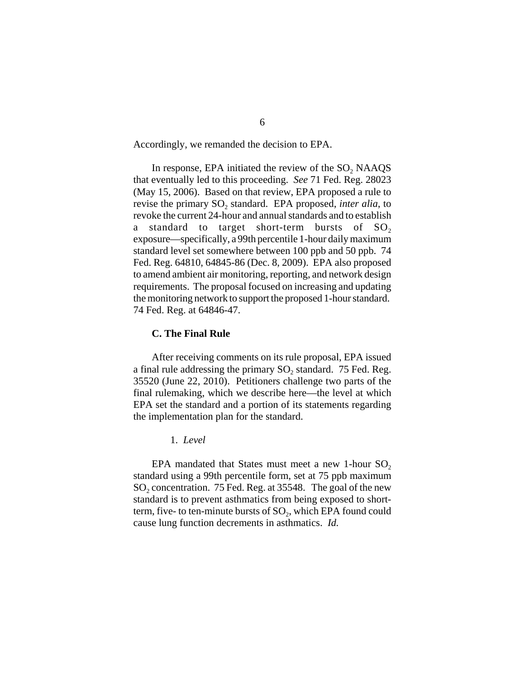Accordingly, we remanded the decision to EPA.

In response, EPA initiated the review of the  $SO<sub>2</sub>$  NAAQS that eventually led to this proceeding. *See* 71 Fed. Reg. 28023 (May 15, 2006). Based on that review, EPA proposed a rule to revise the primary SO<sub>2</sub> standard. EPA proposed, *inter alia*, to revoke the current 24-hour and annual standards and to establish a standard to target short-term bursts of  $SO<sub>2</sub>$ exposure—specifically, a 99th percentile 1-hour daily maximum standard level set somewhere between 100 ppb and 50 ppb. 74 Fed. Reg. 64810, 64845-86 (Dec. 8, 2009). EPA also proposed to amend ambient air monitoring, reporting, and network design requirements. The proposal focused on increasing and updating the monitoring network to support the proposed 1-hour standard. 74 Fed. Reg. at 64846-47.

#### **C. The Final Rule**

After receiving comments on its rule proposal, EPA issued a final rule addressing the primary SO<sub>2</sub> standard. 75 Fed. Reg. 35520 (June 22, 2010). Petitioners challenge two parts of the final rulemaking, which we describe here—the level at which EPA set the standard and a portion of its statements regarding the implementation plan for the standard.

1. *Level*

EPA mandated that States must meet a new 1-hour  $SO_2$ standard using a 99th percentile form, set at 75 ppb maximum  $SO<sub>2</sub>$  concentration. 75 Fed. Reg. at 35548. The goal of the new standard is to prevent asthmatics from being exposed to shortterm, five- to ten-minute bursts of  $SO_2$ , which EPA found could cause lung function decrements in asthmatics. *Id.*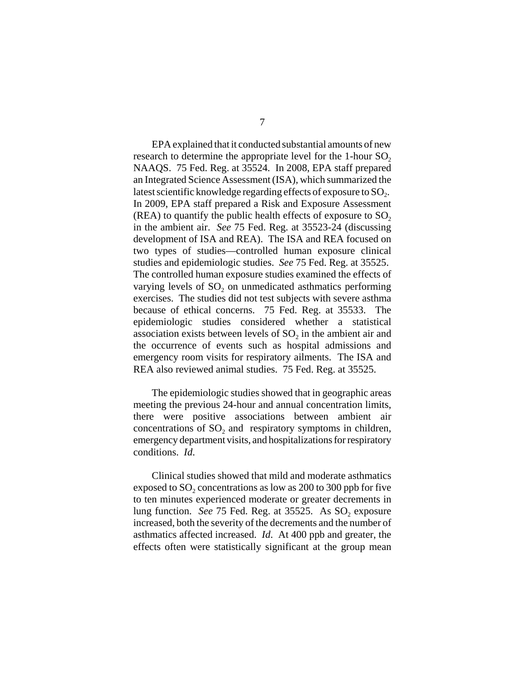EPA explained that it conducted substantial amounts of new research to determine the appropriate level for the 1-hour  $SO<sub>2</sub>$ NAAQS. 75 Fed. Reg. at 35524. In 2008, EPA staff prepared an Integrated Science Assessment (ISA), which summarized the latest scientific knowledge regarding effects of exposure to  $SO<sub>2</sub>$ . In 2009, EPA staff prepared a Risk and Exposure Assessment (REA) to quantify the public health effects of exposure to  $SO_2$ in the ambient air. *See* 75 Fed. Reg. at 35523-24 (discussing development of ISA and REA). The ISA and REA focused on two types of studies—controlled human exposure clinical studies and epidemiologic studies. *See* 75 Fed. Reg. at 35525. The controlled human exposure studies examined the effects of varying levels of  $SO_2$  on unmedicated asthmatics performing exercises. The studies did not test subjects with severe asthma because of ethical concerns. 75 Fed. Reg. at 35533. The epidemiologic studies considered whether a statistical association exists between levels of  $SO<sub>2</sub>$  in the ambient air and the occurrence of events such as hospital admissions and emergency room visits for respiratory ailments. The ISA and REA also reviewed animal studies. 75 Fed. Reg. at 35525.

The epidemiologic studies showed that in geographic areas meeting the previous 24-hour and annual concentration limits, there were positive associations between ambient air concentrations of  $SO<sub>2</sub>$  and respiratory symptoms in children, emergency department visits, and hospitalizations for respiratory conditions. *Id*.

Clinical studies showed that mild and moderate asthmatics exposed to  $SO<sub>2</sub>$  concentrations as low as 200 to 300 ppb for five to ten minutes experienced moderate or greater decrements in lung function. *See* 75 Fed. Reg. at 35525. As SO<sub>2</sub> exposure increased, both the severity of the decrements and the number of asthmatics affected increased. *Id*. At 400 ppb and greater, the effects often were statistically significant at the group mean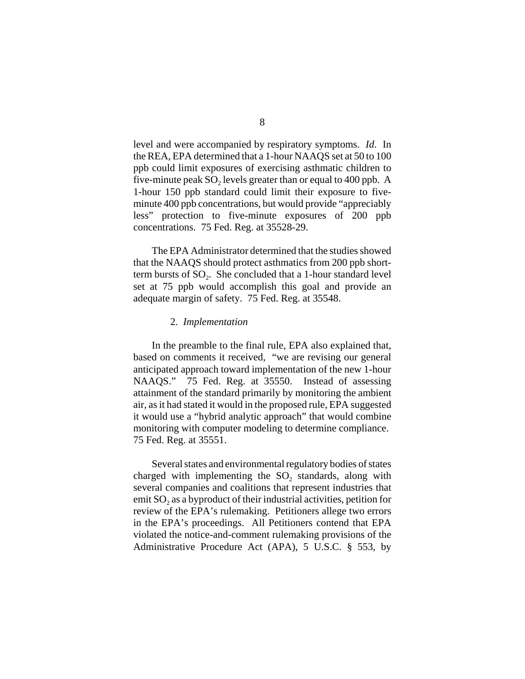level and were accompanied by respiratory symptoms. *Id*. In the REA, EPA determined that a 1-hour NAAQS set at 50 to 100 ppb could limit exposures of exercising asthmatic children to five-minute peak  $SO<sub>2</sub>$  levels greater than or equal to 400 ppb. A 1-hour 150 ppb standard could limit their exposure to fiveminute 400 ppb concentrations, but would provide "appreciably less" protection to five-minute exposures of 200 ppb concentrations. 75 Fed. Reg. at 35528-29.

The EPA Administrator determined that the studies showed that the NAAQS should protect asthmatics from 200 ppb shortterm bursts of  $SO<sub>2</sub>$ . She concluded that a 1-hour standard level set at 75 ppb would accomplish this goal and provide an adequate margin of safety. 75 Fed. Reg. at 35548.

## 2. *Implementation*

 In the preamble to the final rule, EPA also explained that, based on comments it received, "we are revising our general anticipated approach toward implementation of the new 1-hour NAAQS." 75 Fed. Reg. at 35550. Instead of assessing attainment of the standard primarily by monitoring the ambient air, as it had stated it would in the proposed rule, EPA suggested it would use a "hybrid analytic approach" that would combine monitoring with computer modeling to determine compliance. 75 Fed. Reg. at 35551.

Several states and environmental regulatory bodies of states charged with implementing the  $SO_2$  standards, along with several companies and coalitions that represent industries that emit SO<sub>2</sub> as a byproduct of their industrial activities, petition for review of the EPA's rulemaking. Petitioners allege two errors in the EPA's proceedings. All Petitioners contend that EPA violated the notice-and-comment rulemaking provisions of the Administrative Procedure Act (APA), 5 U.S.C. § 553, by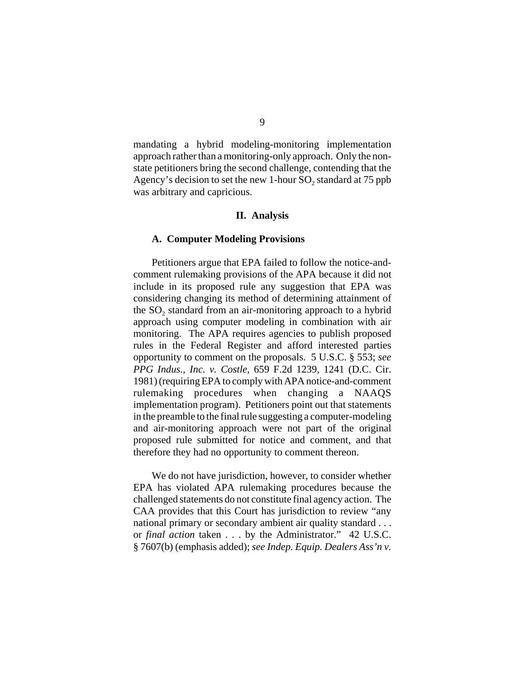mandating a hybrid modeling-monitoring implementation approach rather than a monitoring-only approach. Only the nonstate petitioners bring the second challenge, contending that the Agency's decision to set the new 1-hour  $SO<sub>2</sub>$  standard at 75 ppb was arbitrary and capricious.

#### **II. Analysis**

#### **A. Computer Modeling Provisions**

Petitioners argue that EPA failed to follow the notice-andcomment rulemaking provisions of the APA because it did not include in its proposed rule any suggestion that EPA was considering changing its method of determining attainment of the  $SO<sub>2</sub>$  standard from an air-monitoring approach to a hybrid approach using computer modeling in combination with air monitoring. The APA requires agencies to publish proposed rules in the Federal Register and afford interested parties opportunity to comment on the proposals. 5 U.S.C. § 553; *see PPG Indus., Inc. v. Costle*, 659 F.2d 1239, 1241 (D.C. Cir. 1981) (requiring EPA to comply with APA notice-and-comment rulemaking procedures when changing a NAAQS implementation program). Petitioners point out that statements in the preamble to the final rule suggesting a computer-modeling and air-monitoring approach were not part of the original proposed rule submitted for notice and comment, and that therefore they had no opportunity to comment thereon.

We do not have jurisdiction, however, to consider whether EPA has violated APA rulemaking procedures because the challenged statements do not constitute final agency action. The CAA provides that this Court has jurisdiction to review "any national primary or secondary ambient air quality standard . . . or *final action* taken . . . by the Administrator." 42 U.S.C. § 7607(b) (emphasis added); *see Indep. Equip. Dealers Ass'n v.*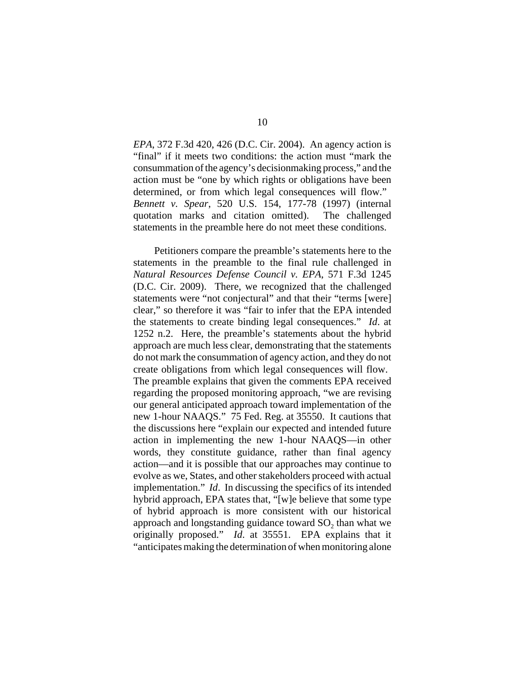*EPA*, 372 F.3d 420, 426 (D.C. Cir. 2004). An agency action is "final" if it meets two conditions: the action must "mark the consummation of the agency's decisionmaking process," and the action must be "one by which rights or obligations have been determined, or from which legal consequences will flow." *Bennett v. Spear*, 520 U.S. 154, 177-78 (1997) (internal quotation marks and citation omitted). The challenged statements in the preamble here do not meet these conditions.

 Petitioners compare the preamble's statements here to the statements in the preamble to the final rule challenged in *Natural Resources Defense Council v. EPA*, 571 F.3d 1245 (D.C. Cir. 2009). There, we recognized that the challenged statements were "not conjectural" and that their "terms [were] clear," so therefore it was "fair to infer that the EPA intended the statements to create binding legal consequences." *Id*. at 1252 n.2. Here, the preamble's statements about the hybrid approach are much less clear, demonstrating that the statements do not mark the consummation of agency action, and they do not create obligations from which legal consequences will flow. The preamble explains that given the comments EPA received regarding the proposed monitoring approach, "we are revising our general anticipated approach toward implementation of the new 1-hour NAAQS." 75 Fed. Reg. at 35550. It cautions that the discussions here "explain our expected and intended future action in implementing the new 1-hour NAAQS—in other words, they constitute guidance, rather than final agency action—and it is possible that our approaches may continue to evolve as we, States, and other stakeholders proceed with actual implementation." *Id*. In discussing the specifics of its intended hybrid approach, EPA states that, "[w]e believe that some type of hybrid approach is more consistent with our historical approach and longstanding guidance toward  $SO<sub>2</sub>$  than what we originally proposed." *Id*. at 35551. EPA explains that it "anticipates making the determination of when monitoring alone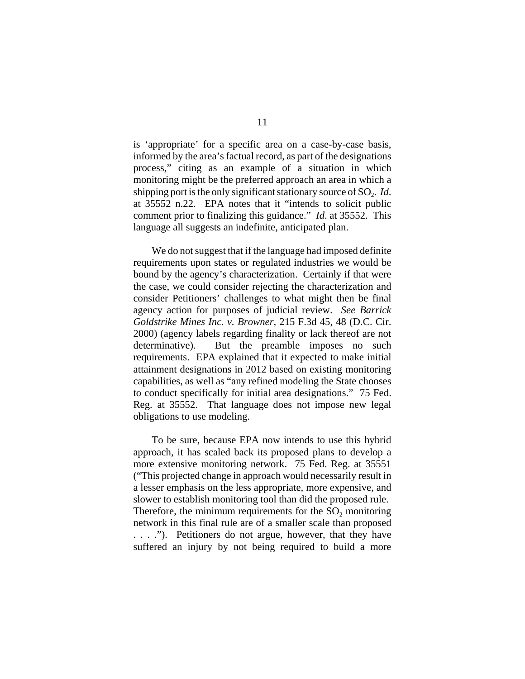is 'appropriate' for a specific area on a case-by-case basis, informed by the area's factual record, as part of the designations process," citing as an example of a situation in which monitoring might be the preferred approach an area in which a shipping port is the only significant stationary source of SO<sub>2</sub>. *Id*. at 35552 n.22. EPA notes that it "intends to solicit public comment prior to finalizing this guidance." *Id*. at 35552. This language all suggests an indefinite, anticipated plan.

We do not suggest that if the language had imposed definite requirements upon states or regulated industries we would be bound by the agency's characterization. Certainly if that were the case, we could consider rejecting the characterization and consider Petitioners' challenges to what might then be final agency action for purposes of judicial review. *See Barrick Goldstrike Mines Inc. v. Browner*, 215 F.3d 45, 48 (D.C. Cir. 2000) (agency labels regarding finality or lack thereof are not determinative). But the preamble imposes no such requirements. EPA explained that it expected to make initial attainment designations in 2012 based on existing monitoring capabilities, as well as "any refined modeling the State chooses to conduct specifically for initial area designations." 75 Fed. Reg. at 35552. That language does not impose new legal obligations to use modeling.

To be sure, because EPA now intends to use this hybrid approach, it has scaled back its proposed plans to develop a more extensive monitoring network. 75 Fed. Reg. at 35551 ("This projected change in approach would necessarily result in a lesser emphasis on the less appropriate, more expensive, and slower to establish monitoring tool than did the proposed rule. Therefore, the minimum requirements for the  $SO<sub>2</sub>$  monitoring network in this final rule are of a smaller scale than proposed . . . ."). Petitioners do not argue, however, that they have suffered an injury by not being required to build a more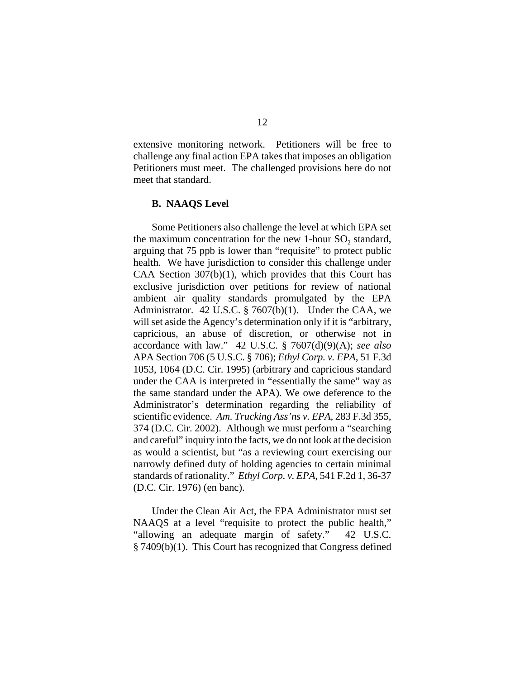extensive monitoring network. Petitioners will be free to challenge any final action EPA takes that imposes an obligation Petitioners must meet. The challenged provisions here do not meet that standard.

## **B. NAAQS Level**

Some Petitioners also challenge the level at which EPA set the maximum concentration for the new 1-hour  $SO<sub>2</sub>$  standard, arguing that 75 ppb is lower than "requisite" to protect public health. We have jurisdiction to consider this challenge under CAA Section 307(b)(1), which provides that this Court has exclusive jurisdiction over petitions for review of national ambient air quality standards promulgated by the EPA Administrator. 42 U.S.C. § 7607(b)(1). Under the CAA, we will set aside the Agency's determination only if it is "arbitrary, capricious, an abuse of discretion, or otherwise not in accordance with law." 42 U.S.C. § 7607(d)(9)(A); *see also* APA Section 706 (5 U.S.C. § 706); *Ethyl Corp. v. EPA*, 51 F.3d 1053, 1064 (D.C. Cir. 1995) (arbitrary and capricious standard under the CAA is interpreted in "essentially the same" way as the same standard under the APA). We owe deference to the Administrator's determination regarding the reliability of scientific evidence. *Am. Trucking Ass'ns v. EPA*, 283 F.3d 355, 374 (D.C. Cir. 2002). Although we must perform a "searching and careful" inquiry into the facts, we do not look at the decision as would a scientist, but "as a reviewing court exercising our narrowly defined duty of holding agencies to certain minimal standards of rationality." *Ethyl Corp. v. EPA*, 541 F.2d 1, 36-37 (D.C. Cir. 1976) (en banc).

Under the Clean Air Act, the EPA Administrator must set NAAQS at a level "requisite to protect the public health," "allowing an adequate margin of safety." 42 U.S.C. § 7409(b)(1). This Court has recognized that Congress defined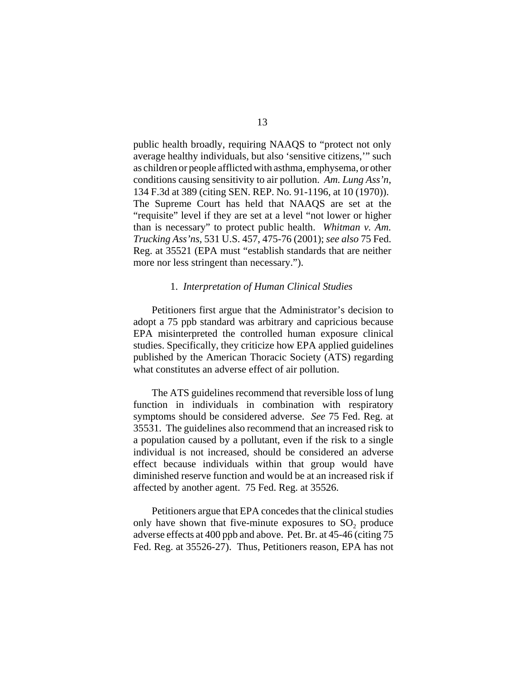public health broadly, requiring NAAQS to "protect not only average healthy individuals, but also 'sensitive citizens,'" such as children or people afflicted with asthma, emphysema, or other conditions causing sensitivity to air pollution. *Am. Lung Ass'n*, 134 F.3d at 389 (citing SEN. REP. No. 91-1196, at 10 (1970)). The Supreme Court has held that NAAQS are set at the "requisite" level if they are set at a level "not lower or higher than is necessary" to protect public health. *Whitman v. Am. Trucking Ass'ns*, 531 U.S. 457, 475-76 (2001); *see also* 75 Fed. Reg. at 35521 (EPA must "establish standards that are neither more nor less stringent than necessary.").

## 1. *Interpretation of Human Clinical Studies*

Petitioners first argue that the Administrator's decision to adopt a 75 ppb standard was arbitrary and capricious because EPA misinterpreted the controlled human exposure clinical studies. Specifically, they criticize how EPA applied guidelines published by the American Thoracic Society (ATS) regarding what constitutes an adverse effect of air pollution.

The ATS guidelines recommend that reversible loss of lung function in individuals in combination with respiratory symptoms should be considered adverse. *See* 75 Fed. Reg. at 35531. The guidelines also recommend that an increased risk to a population caused by a pollutant, even if the risk to a single individual is not increased, should be considered an adverse effect because individuals within that group would have diminished reserve function and would be at an increased risk if affected by another agent. 75 Fed. Reg. at 35526.

Petitioners argue that EPA concedes that the clinical studies only have shown that five-minute exposures to  $SO<sub>2</sub>$  produce adverse effects at 400 ppb and above. Pet. Br. at 45-46 (citing 75 Fed. Reg. at 35526-27). Thus, Petitioners reason, EPA has not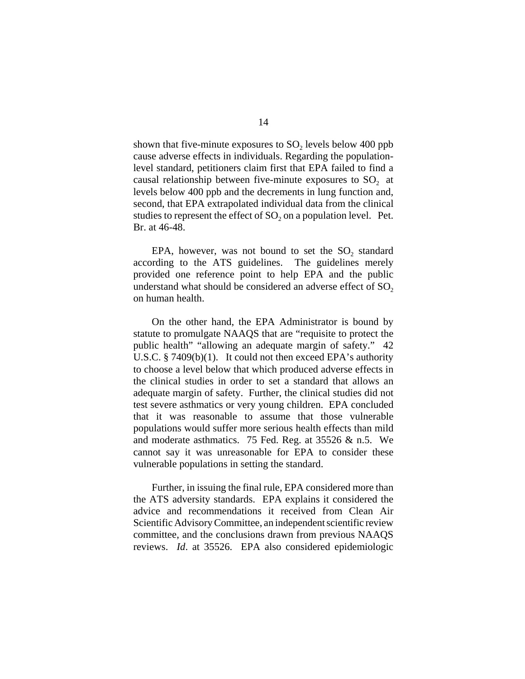shown that five-minute exposures to  $SO<sub>2</sub>$  levels below 400 ppb cause adverse effects in individuals. Regarding the populationlevel standard, petitioners claim first that EPA failed to find a causal relationship between five-minute exposures to  $SO<sub>2</sub>$  at levels below 400 ppb and the decrements in lung function and, second, that EPA extrapolated individual data from the clinical studies to represent the effect of  $SO_2$  on a population level. Pet. Br. at 46-48.

EPA, however, was not bound to set the  $SO_2$  standard according to the ATS guidelines. The guidelines merely provided one reference point to help EPA and the public understand what should be considered an adverse effect of  $SO<sub>2</sub>$ on human health.

On the other hand, the EPA Administrator is bound by statute to promulgate NAAQS that are "requisite to protect the public health" "allowing an adequate margin of safety." 42 U.S.C. § 7409(b)(1). It could not then exceed EPA's authority to choose a level below that which produced adverse effects in the clinical studies in order to set a standard that allows an adequate margin of safety. Further, the clinical studies did not test severe asthmatics or very young children. EPA concluded that it was reasonable to assume that those vulnerable populations would suffer more serious health effects than mild and moderate asthmatics. 75 Fed. Reg. at 35526 & n.5. We cannot say it was unreasonable for EPA to consider these vulnerable populations in setting the standard.

Further, in issuing the final rule, EPA considered more than the ATS adversity standards. EPA explains it considered the advice and recommendations it received from Clean Air Scientific Advisory Committee, an independent scientific review committee, and the conclusions drawn from previous NAAQS reviews. *Id*. at 35526. EPA also considered epidemiologic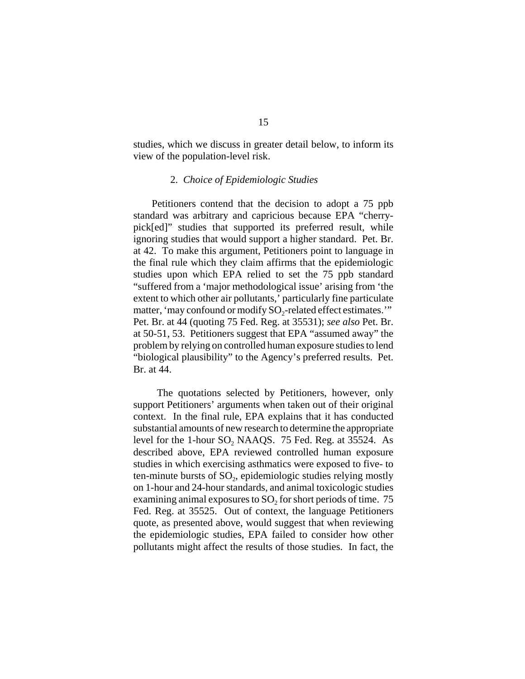studies, which we discuss in greater detail below, to inform its view of the population-level risk.

## 2. *Choice of Epidemiologic Studies*

Petitioners contend that the decision to adopt a 75 ppb standard was arbitrary and capricious because EPA "cherrypick[ed]" studies that supported its preferred result, while ignoring studies that would support a higher standard. Pet. Br. at 42. To make this argument, Petitioners point to language in the final rule which they claim affirms that the epidemiologic studies upon which EPA relied to set the 75 ppb standard "suffered from a 'major methodological issue' arising from 'the extent to which other air pollutants,' particularly fine particulate matter, 'may confound or modify SO<sub>2</sub>-related effect estimates.'" Pet. Br. at 44 (quoting 75 Fed. Reg. at 35531); *see also* Pet. Br. at 50-51, 53. Petitioners suggest that EPA "assumed away" the problem by relying on controlled human exposure studies to lend "biological plausibility" to the Agency's preferred results. Pet. Br. at 44.

 The quotations selected by Petitioners, however, only support Petitioners' arguments when taken out of their original context. In the final rule, EPA explains that it has conducted substantial amounts of new research to determine the appropriate level for the 1-hour SO<sub>2</sub> NAAQS. 75 Fed. Reg. at 35524. As described above, EPA reviewed controlled human exposure studies in which exercising asthmatics were exposed to five- to ten-minute bursts of  $SO<sub>2</sub>$ , epidemiologic studies relying mostly on 1-hour and 24-hour standards, and animal toxicologic studies examining animal exposures to  $SO<sub>2</sub>$  for short periods of time. 75 Fed. Reg. at 35525. Out of context, the language Petitioners quote, as presented above, would suggest that when reviewing the epidemiologic studies, EPA failed to consider how other pollutants might affect the results of those studies. In fact, the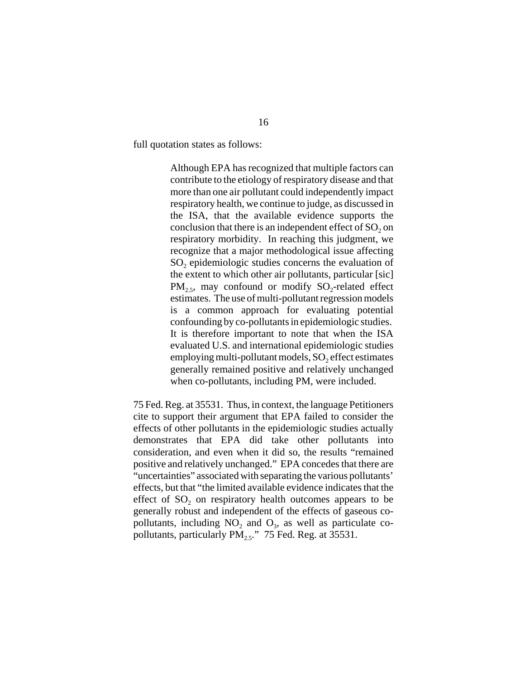full quotation states as follows:

Although EPA has recognized that multiple factors can contribute to the etiology of respiratory disease and that more than one air pollutant could independently impact respiratory health, we continue to judge, as discussed in the ISA, that the available evidence supports the conclusion that there is an independent effect of  $SO<sub>2</sub>$  on respiratory morbidity. In reaching this judgment, we recognize that a major methodological issue affecting SO<sub>2</sub> epidemiologic studies concerns the evaluation of the extent to which other air pollutants, particular [sic]  $PM_{2.5}$ , may confound or modify  $SO_2$ -related effect estimates. The use of multi-pollutant regression models is a common approach for evaluating potential confounding by co-pollutants in epidemiologic studies. It is therefore important to note that when the ISA evaluated U.S. and international epidemiologic studies employing multi-pollutant models,  $SO<sub>2</sub>$  effect estimates generally remained positive and relatively unchanged when co-pollutants, including PM, were included.

75 Fed. Reg. at 35531. Thus, in context, the language Petitioners cite to support their argument that EPA failed to consider the effects of other pollutants in the epidemiologic studies actually demonstrates that EPA did take other pollutants into consideration, and even when it did so, the results "remained positive and relatively unchanged." EPA concedes that there are "uncertainties" associated with separating the various pollutants' effects, but that "the limited available evidence indicates that the effect of  $SO<sub>2</sub>$  on respiratory health outcomes appears to be generally robust and independent of the effects of gaseous copollutants, including  $NO<sub>2</sub>$  and  $O<sub>3</sub>$ , as well as particulate copollutants, particularly  $PM_{2.5}$ ." 75 Fed. Reg. at 35531.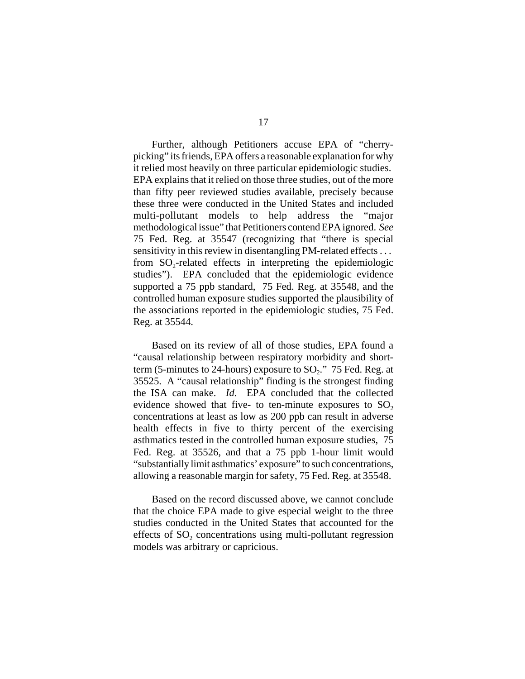Further, although Petitioners accuse EPA of "cherrypicking" its friends, EPA offers a reasonable explanation for why it relied most heavily on three particular epidemiologic studies. EPA explains that it relied on those three studies, out of the more than fifty peer reviewed studies available, precisely because these three were conducted in the United States and included multi-pollutant models to help address the "major methodological issue" that Petitioners contend EPA ignored. *See* 75 Fed. Reg. at 35547 (recognizing that "there is special sensitivity in this review in disentangling PM-related effects ... from  $SO_2$ -related effects in interpreting the epidemiologic studies"). EPA concluded that the epidemiologic evidence supported a 75 ppb standard, 75 Fed. Reg. at 35548, and the controlled human exposure studies supported the plausibility of the associations reported in the epidemiologic studies, 75 Fed. Reg. at 35544.

Based on its review of all of those studies, EPA found a "causal relationship between respiratory morbidity and shortterm (5-minutes to 24-hours) exposure to  $SO_2$ ." 75 Fed. Reg. at 35525. A "causal relationship" finding is the strongest finding the ISA can make. *Id*. EPA concluded that the collected evidence showed that five- to ten-minute exposures to  $SO<sub>2</sub>$ concentrations at least as low as 200 ppb can result in adverse health effects in five to thirty percent of the exercising asthmatics tested in the controlled human exposure studies, 75 Fed. Reg. at 35526, and that a 75 ppb 1-hour limit would "substantially limit asthmatics' exposure" to such concentrations, allowing a reasonable margin for safety, 75 Fed. Reg. at 35548.

Based on the record discussed above, we cannot conclude that the choice EPA made to give especial weight to the three studies conducted in the United States that accounted for the effects of SO<sub>2</sub> concentrations using multi-pollutant regression models was arbitrary or capricious.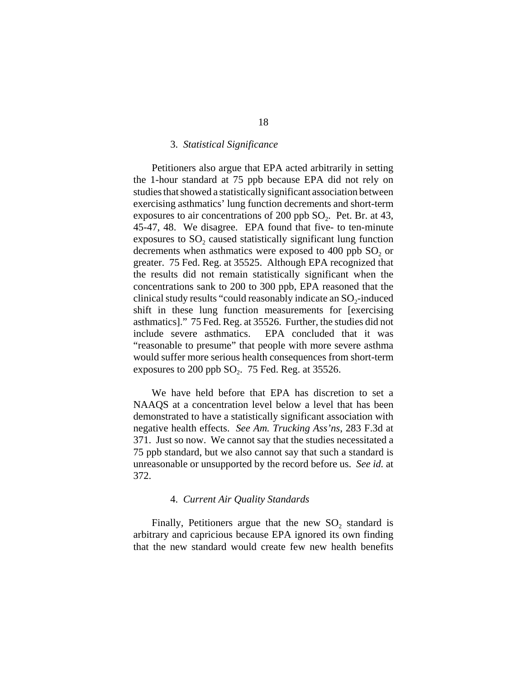#### 3. *Statistical Significance*

Petitioners also argue that EPA acted arbitrarily in setting the 1-hour standard at 75 ppb because EPA did not rely on studies that showed a statistically significant association between exercising asthmatics' lung function decrements and short-term exposures to air concentrations of 200 ppb  $SO_2$ . Pet. Br. at 43, 45-47, 48. We disagree. EPA found that five- to ten-minute exposures to  $SO<sub>2</sub>$  caused statistically significant lung function decrements when asthmatics were exposed to 400 ppb  $SO<sub>2</sub>$  or greater. 75 Fed. Reg. at 35525. Although EPA recognized that the results did not remain statistically significant when the concentrations sank to 200 to 300 ppb, EPA reasoned that the clinical study results "could reasonably indicate an SO<sub>2</sub>-induced shift in these lung function measurements for [exercising asthmatics]." 75 Fed. Reg. at 35526. Further, the studies did not include severe asthmatics. EPA concluded that it was "reasonable to presume" that people with more severe asthma would suffer more serious health consequences from short-term exposures to 200 ppb  $SO_2$ . 75 Fed. Reg. at 35526.

We have held before that EPA has discretion to set a NAAQS at a concentration level below a level that has been demonstrated to have a statistically significant association with negative health effects. *See Am. Trucking Ass'ns*, 283 F.3d at 371. Just so now. We cannot say that the studies necessitated a 75 ppb standard, but we also cannot say that such a standard is unreasonable or unsupported by the record before us. *See id.* at 372.

## 4. *Current Air Quality Standards*

Finally, Petitioners argue that the new  $SO_2$  standard is arbitrary and capricious because EPA ignored its own finding that the new standard would create few new health benefits